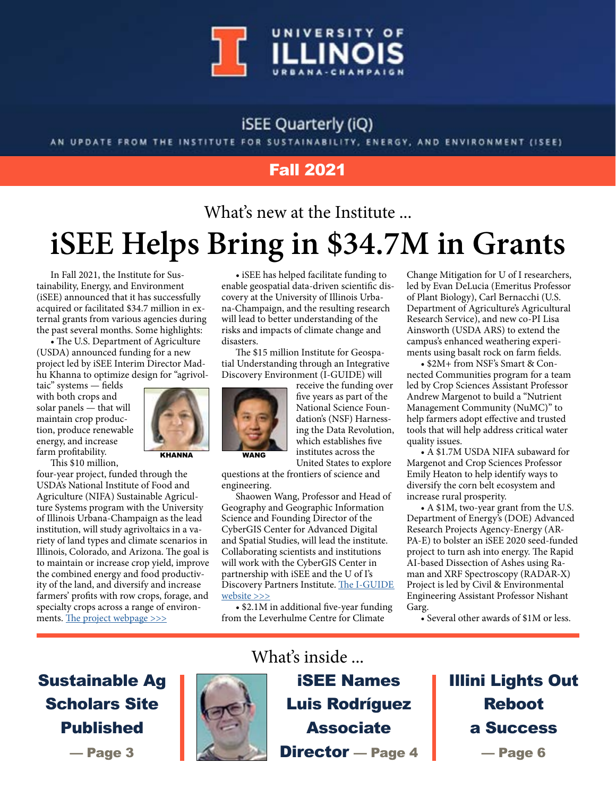

#### **iSEE Quarterly (iQ)**

AN UPDATE FROM THE INSTITUTE FOR SUSTAINABILITY, ENERGY, AND ENVIRONMENT (ISEE)

#### Fall 2021

## What's new at the Institute ... **iSEE Helps Bring in \$34.7M in Grants**

In Fall 2021, the Institute for Sustainability, Energy, and Environment (iSEE) announced that it has successfully acquired or facilitated \$34.7 million in external grants from various agencies during the past several months. Some highlights:

• The U.S. Department of Agriculture (USDA) announced funding for a new project led by iSEE Interim Director Madhu Khanna to optimize design for "agrivol-

taic" systems — fields with both crops and solar panels — that will maintain crop production, produce renewable energy, and increase farm profitability.

This \$10 million,



KHANNA WANG

four-year project, funded through the USDA's National Institute of Food and Agriculture (NIFA) Sustainable Agriculture Systems program with the University of Illinois Urbana-Champaign as the lead institution, will study agrivoltaics in a variety of land types and climate scenarios in Illinois, Colorado, and Arizona. The goal is to maintain or increase crop yield, improve the combined energy and food productivity of the land, and diversify and increase farmers' profits with row crops, forage, and specialty crops across a range of environ-ments. [The project webpage >>>](https://sustainability.illinois.edu/research/agrivoltaics-project/)

• iSEE has helped facilitate funding to enable geospatial data-driven scientific discovery at the University of Illinois Urbana-Champaign, and the resulting research will lead to better understanding of the risks and impacts of climate change and disasters.

The \$15 million Institute for Geospatial Understanding through an Integrative Discovery Environment (I-GUIDE) will



receive the funding over five years as part of the National Science Foundation's (NSF) Harnessing the Data Revolution, which establishes five institutes across the United States to explore

questions at the frontiers of science and engineering.

Shaowen Wang, Professor and Head of Geography and Geographic Information Science and Founding Director of the CyberGIS Center for Advanced Digital and Spatial Studies, will lead the institute. Collaborating scientists and institutions will work with the CyberGIS Center in partnership with iSEE and the U of I's Discovery Partners Institute. [The I-GUIDE](http://iguide.illinois.edu/)  [website >>>](http://iguide.illinois.edu/)

• \$2.1M in additional five-year funding from the Leverhulme Centre for Climate

Change Mitigation for U of I researchers, led by Evan DeLucia (Emeritus Professor of Plant Biology), Carl Bernacchi (U.S. Department of Agriculture's Agricultural Research Service), and new co-PI Lisa Ainsworth (USDA ARS) to extend the campus's enhanced weathering experiments using basalt rock on farm fields.

• \$2M+ from NSF's Smart & Connected Communities program for a team led by Crop Sciences Assistant Professor Andrew Margenot to build a "Nutrient Management Community (NuMC)" to help farmers adopt effective and trusted tools that will help address critical water quality issues.

• A \$1.7M USDA NIFA subaward for Margenot and Crop Sciences Professor Emily Heaton to help identify ways to diversify the corn belt ecosystem and increase rural prosperity.

• A \$1M, two-year grant from the U.S. Department of Energy's (DOE) Advanced Research Projects Agency-Energy (AR-PA-E) to bolster an iSEE 2020 seed-funded project to turn ash into energy. The Rapid AI-based Dissection of Ashes using Raman and XRF Spectroscopy (RADAR-X) Project is led by Civil & Environmental Engineering Assistant Professor Nishant Garg.

• Several other awards of \$1M or less.

Sustainable Ag Scholars Site Published

— Page 3

## What's inside ...

iSEE Names Luis Rodríguez **Associate** Director — Page 4 Illini Lights Out Reboot a Success — Page 6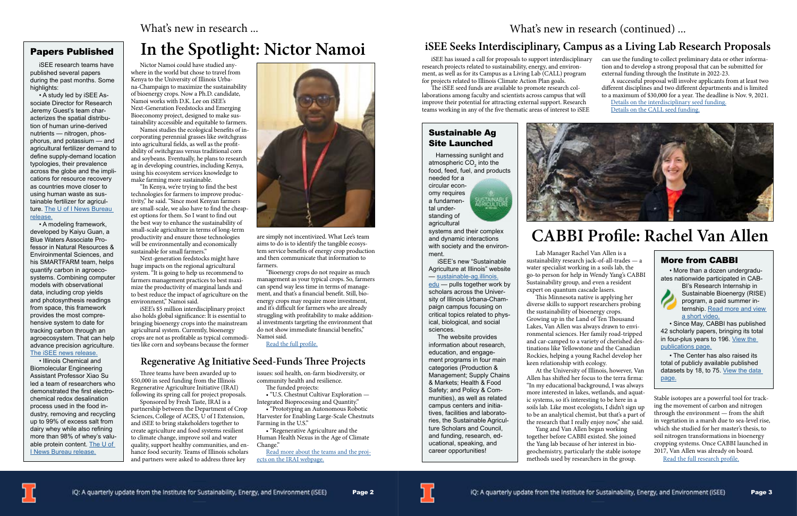### **In the Spotlight: Nictor Namoi**

Nictor Namoi could have studied anywhere in the world but chose to travel from Kenya to the University of Illinois Urbana-Champaign to maximize the sustainability of bioenergy crops. Now a Ph.D. candidate, Namoi works with D.K. Lee on iSEE's Next-Generation Feedstocks and Emerging Bioeconomy project, designed to make sustainability accessible and equitable to farmers.

Namoi studies the ecological benefits of incorporating perennial grasses like switchgrass into agricultural fields, as well as the profitability of switchgrass versus traditional corn and soybeans. Eventually, he plans to research ag in developing countries, including Kenya, using his ecosystem services knowledge to make farming more sustainable.

"In Kenya, we're trying to find the best technologies for farmers to improve productivity," he said. "Since most Kenyan farmers are small-scale, we also have to find the cheapest options for them. So I want to find out the best way to enhance the sustainability of small-scale agriculture in terms of long-term productivity and ensure those technologies will be environmentally and economically sustainable for small farmers."

Next-generation feedstocks might have huge impacts on the regional agricultural system. "It is going to help us recommend to farmers management practices to best maximize the productivity of marginal lands and to best reduce the impact of agriculture on the environment," Namoi said.

iSEE's \$5 million interdisciplinary project also holds global significance: It is essential to bringing bioenergy crops into the mainstream agricultural system. Currently, bioenergy crops are not as profitable as typical commodities like corn and soybeans because the former



are simply not incentivized. What Lee's team aims to do is to identify the tangible ecosystem service benefits of energy crop production and then communicate that information to farmers.

"Bioenergy crops do not require as much management as your typical crops. So, farmers can spend way less time in terms of management, and that's a financial benefit. Still, bioenergy crops may require more investment, and it's difficult for farmers who are already struggling with profitability to make additional investments targeting the environment that do not show immediate financial benefits," Namoi said.

[Read the full profile.](https://sustainability.illinois.edu/research-around-the-world-isees-nictor-namoi/)

Lab Manager Rachel Van Allen is a sustainability research jack-of-all-trades — a water specialist working in a soils lab, the go-to person for help in Wendy Yang's CABBI Sustainability group, and even a resident expert on quantum cascade lasers.

This Minnesota native is applying her diverse skills to support researchers probing the sustainability of bioenergy crops. Growing up in the Land of Ten Thousand Lakes, Van Allen was always drawn to environmental sciences. Her family road-tripped and car-camped to a variety of cherished destinations like Yellowstone and the Canadian Rockies, helping a young Rachel develop her keen relationship with ecology. At the University of Illinois, however, Van Allen has shifted her focus to the terra firma:

[edu](https://sustainable-ag.illinois.edu) — pulls together work by scholars across the University of Illinois Urbana-Champaign campus focusing on critical topics related to physical, biological, and social sciences.

> "In my educational background, I was always more interested in lakes, wetlands, and aquatic systems, so it's interesting to be here in a soils lab. Like most ecologists, I didn't sign up to be an analytical chemist, but that's a part of the research that I really enjoy now," she said. together before CABBI existed. She joined the Yang lab because of her interest in biogeochemistry, particularly the stable isotope methods used by researchers in the group.





Yang and Van Allen began working

Stable isotopes are a powerful tool for tracking the movement of carbon and nitrogen through the environment — from the shift in vegetation in a marsh due to sea-level rise, which she studied for her master's thesis, to soil nitrogen transformations in bioenergy cropping systems. Once CABBI launched in 2017, Van Allen was already on board.

[Read the full research profile.](https://cabbi.bio/rachel-van-allen-solid-ground-for-sustainability-research/)

## **CABBI Profile: Rachel Van Allen**

#### What's new in research ...

#### Papers Published

 iSEE research teams have published several papers during the past months. Some highlights:

 • A study led by iSEE Associate Director for Research Jeremy Guest's team characterizes the spatial distribution of human urine-derived nutrients — nitrogen, phosphorus, and potassium — and agricultural fertilizer demand to define supply-demand location typologies, their prevalence across the globe and the implications for resource recovery as countries move closer to using human waste as sustainable fertilizer for agriculture. [The U of I News Bureau](https://news.illinois.edu/view/6367/987785757)  [release](https://news.illinois.edu/view/6367/987785757).

 • A modeling framework, developed by Kaiyu Guan, a Blue Waters Associate Professor in Natural Resources & Enviroinmental Sciences, and his SMARTFARM team, helps quantify carbon in agroecosystems. Combining computer models with observational data, including crop yields and photosynthesis readings from space, this framework provides the most comprehensive system to date for tracking carbon through an agroecosystem. That can help advance precision agriculture. [The iSEE news release](https://sustainability.illinois.edu/new-modeling-solution-sets-the-bar-for-quantifying-carbon-budget-and-credit-in-agroecosystems/).

 • Illinois Chemical and Biomolecular Engineering Assistant Professor Xiao Su led a team of researchers who demonstrated the first electrochemical redox desalination process used in the food industry, removing and recycling up to 99% of excess salt from dairy whey while also refining more than 98% of whey's valuable protein content. The U of [I News Bureau release.](https://news.illinois.edu/view/6367/1488755182)

#### More from CABBI

 • More than a dozen undergraduates nationwide participated in CAB-



BI's Research Internship in Sustainable Bioenergy (RISE) program, a paid summer internship. [Read more and view](https://cabbi.bio/news/outreach/)  [a short video.](https://cabbi.bio/news/outreach/)

 • Since May, CABBI has published 42 scholarly papers, bringing its total in four-plus years to 196. [View the](https://cabbi.bio/news/research-publications/)  [publications page.](https://cabbi.bio/news/research-publications/)

 • The Center has also raised its total of publicly available published datasets by 18, to 75. [View the data](https://cabbi.bio/cabbi-research-data/)  [page.](https://cabbi.bio/cabbi-research-data/)

#### Sustainable Ag Site Launched

 Harnessing sunlight and atmospheric CO $_{\textrm{\tiny{2}}}$  into the food, feed, fuel, and products needed for a

circular economy requires a fundamen-SUSTA NABL<br>AGRICULTUR tal understanding of agricultural



systems and their complex and dynamic interactions with society and the environment.

 iSEE's new "Sustainable Agriculture at Illinois" website — [sustainable-ag.illinois.](https://sustainable-ag.illinois.edu)

 The website provides information about research, education, and engagement programs in four main categories (Production & Management; Supply Chains & Markets; Health & Food Safety; and Policy & Communities), as well as related campus centers and initiatives, facilities and laboratories, the Sustainable Agriculture Scholars and Council, and funding, research, educational, speaking, and career opportunities!

Three teams have been awarded up to \$50,000 in seed funding from the Illinois Regenerative Agriculture Initiative (IRAI) following its spring call for project proposals.

Sponsored by Fresh Taste, IRAI is a partnership between the Department of Crop Sciences, College of ACES, U of I Extension, and iSEE to bring stakeholders together to create agriculture and food systems resilient to climate change, improve soil and water quality, support healthy communities, and enhance food security. Teams of Illinois scholars and partners were asked to address three key

issues: soil health, on-farm biodiversity, or community health and resilience.

The funded projects: • "U.S. Chestnut Cultivar Exploration —

Integrated Bioprocessing and Quantity."

• "Prototyping an Autonomous Robotic Harvester for Enabling Large-Scale Chestnuts Farming in the U.S."

• "Regenerative Agriculture and the Human Health Nexus in the Age of Climate Change."

[Read more about the teams and the proj](https://sustainability.illinois.edu/research/illinois-regenerative-agriculture-initiative/)[ects on the IRAI webpage](https://sustainability.illinois.edu/research/illinois-regenerative-agriculture-initiative/).

## What's new in research (continued)...

iSEE has issued a call for proposals to support interdisciplinary research projects related to sustainability, energy, and environment, as well as for its Campus as a Living Lab (CALL) program for projects related to Illinois Climate Action Plan goals. can use the funding to collect preliminary data or other information and to develop a strong proposal that can be submitted for external funding through the Institute in 2022-23. A successful proposal will involve applicants from at least two

The iSEE seed funds are available to promote research collaborations among faculty and scientists across campus that will improve their potential for attracting external support. Research teams working in any of the five thematic areas of interest to iSEE

different disciplines and two different departments and is limited to a maximum of \$30,000 for a year. The deadline is Nov. 9, 2021. [Details on the interdisciplinary seed funding.](https://sustainability.illinois.edu/2021-rfp-isee-offers-seed-funding-for-interdisciplinary-research-teams/)

[Details on the CALL seed funding.](https://sustainability.illinois.edu/research/campus-as-a-living-laboratory-research-campus-sustainability-working-together/)



#### **Regenerative Ag Initiative Seed-Funds Three Projects**

#### **iSEE Seeks Interdisciplinary, Campus as a Living Lab Research Proposals**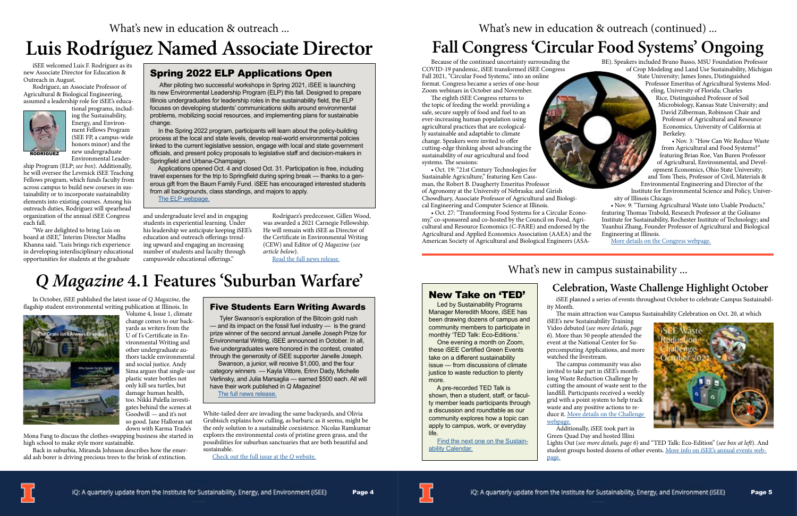iSEE welcomed Luis F. Rodríguez as its new Associate Director for Education & Outreach in August.

Rodríguez, an Associate Professor of Agricultural & Biological Engineering, assumed a leadership role for iSEE's educa-

> tional programs, including the Sustainability, Energy, and Environment Fellows Program (SEE FP, a campus-wide honors minor) and the new undergraduate Environmental Leader-

ship Program (ELP; *see box*). Additionally, he will oversee the Levenick iSEE Teaching Fellows program, which funds faculty from across campus to build new courses in sustainability or to incorporate sustainability elements into existing courses. Among his outreach duties, Rodríguez will spearhead organization of the annual iSEE Congress each fall.

"We are delighted to bring Luis on board at iSEE," Interim Director Madhu Khanna said. "Luis brings rich experience in developing interdisciplinary educational opportunities for students at the graduate

and undergraduate level and in engaging students in experiential learning. Under his leadership we anticipate keeping iSEE's education and outreach offerings trending upward and engaging an increasing number of students and faculty through campuswide educational offerings."

Rodríguez's predecessor, Gillen Wood, was awarded a 2021 Carnegie Fellowship. He will remain with iSEE as Director of the Certificate in Environmental Writing (CEW) and Editor of *Q Magazine* (*see article below*).

[Read the full news release.](https://sustainability.illinois.edu/isee-names-new-associate-director/)

In October, iSEE published the latest issue of *Q Magazine*, the flagship student environmental writing publication at Illinois. In



Volume 4, Issue 1, climate change comes to our backyards as writers from the U of I's Certificate in Environmental Writing and other undergraduate authors tackle environmental and social justice. Andy Sima argues that single-use plastic water bottles not only kill sea turtles, but damage human health, too. Nikki Palella investigates behind the scenes at Goodwill — and it's not so good. Jane Halloran sat down with Karma Trade's

Mona Fang to discuss the clothes-swapping business she started in high school to make style more sustainable.

Back in suburbia, Miranda Johnson describes how the emerald ash borer is driving precious trees to the brink of extinction.

White-tailed deer are invading the same backyards, and Olivia Grubisich explains how culling, as barbaric as it seems, might be the only solution to a sustainable coexistence. Nicolas Ramkumar explores the environmental costs of pristine green grass, and the possibilities for suburban sanctuaries that are both beautiful and sustainable.

[Check out the full issue at the](https://q.sustainability.illinois.edu/) *Q* website.

## *Q Magazine* **4.1 Features 'Suburban Warfare'**

## **Luis Rodríguez Named Associate Director**

#### Spring 2022 ELP Applications Open

 After piloting two successful workshops in Spring 2021, iSEE is launching its new Environmental Leadership Program (ELP) this fall. Designed to prepare Illinois undergraduates for leadership roles in the sustainability field, the ELP focuses on developing students' communications skills around environmental problems, mobilizing social resources, and implementing plans for sustainable change.

 In the Spring 2022 program, participants will learn about the policy-building process at the local and state levels, develop real-world environmental policies linked to the current legislative session, engage with local and state government officials, and present policy proposals to legislative staff and decision-makers in Springfield and Urbana-Champaign.

 Applications opened Oct. 4 and closed Oct. 31. Participation is free, including travel expenses for the trip to Springfield during spring break — thanks to a generous gift from the Baum Family Fund. iSEE has encouraged interested students from all backgrounds, class standings, and majors to apply.

The ELP webpage[.](https://sustainability.illinois.edu/education/elp/)

#### Five Students Earn Writing Awards

 Tyler Swanson's exploration of the Bitcoin gold rush — and its impact on the fossil fuel industry — is the grand prize winner of the second annual Janelle Joseph Prize for Environmental Writing, iSEE announced in October. In all, five undergraduates were honored in the contest, created through the generosity of iSEE supporter Janelle Joseph.

 Swanson, a junior, will receive \$1,000, and the four category winners — Kayla Vittore, Erinn Dady, Michelle Verlinsky, and Julia Marsaglia — earned \$500 each. All will have their work published in *Q Magazine*! The full news releas[e.](https://sustainability.illinois.edu/2021-q-mag-writing-prizes-awarded/)

Page 4

Because of the continued uncertainty surrounding the COVID-19 pandemic, iSEE transformed iSEE Congress Fall 2021, "Circular Food Systems," into an online format. Congress became a series of one-hour Zoom webinars in October and November.

The eighth iSEE Congress returns to the topic of feeding the world: providing a safe, secure supply of food and fuel to an ever-increasing human population using agricultural practices that are ecologically sustainable and adaptable to climate change. Speakers were invited to offer cutting-edge thinking about advancing the sustainability of our agricultural and food systems. The sessions:

• Oct. 19: "21st Century Technologies for Sustainable Agriculture," featuring Ken Cassman, the Robert B. Daugherty Emeritus Professor of Agronomy at the University of Nebraska; and Girish Chowdhary, Associate Professor of Agricultural and Biological Engineering and Computer Science at Illinois.

• Oct. 27: "Transforming Food Systems for a Circular Economy," co-sponsored and co-hosted by the Council on Food, Agricultural and Resource Economics (C-FARE) and endorsed by the Agricultural and Applied Economics Association (AAEA) and the American Society of Agricultural and Biological Engineers (ASA-

#### What's new in campus sustainability ...

BE). Speakers included Bruno Basso, MSU Foundation Professor of Crop Modeling and Land Use Sustainability, Michigan State University; James Jones, Distinguished Professor Emeritus of Agricultural Systems Modeling, University of Florida; Charles Rice, Distinguished Professor of Soil Microbiology, Kansas State University; and David Zilberman, Robinson Chair and Professor of Agricultural and Resource Economics, University of California at Berkeley.

> • Nov. 3: "How Can We Reduce Waste from Agricultural and Food Systems?" featuring Brian Roe, Van Buren Professor of Agricultural, Environmental, and Development Economics, Ohio State University; and Tom Theis, Professor of Civil, Materials &

Environmental Engineering and Director of the Institute for Environmental Science and Policy, University of Illinois Chicago.

• Nov. 9: "Turning Agricultural Waste into Usable Products," featuring Thomas Trabold, Research Professor at the Golisano Institute for Sustainability, Rochester Institute of Technology; and Yuanhui Zhang, Founder Professor of Agricultural and Biological Engineering at Illinois.

[More details on the Congress webpage.](https://sustainability.illinois.edu/outreach/isee-congress/isee-congress-fall-2021/)

iSEE planned a series of events throughout October to celebrate Campus Sustainabil-

ity Month.

The main attraction was Campus Sustainability Celebration on Oct. 20, at which

iSEE's new Sustainability Training Video debuted (*see more details, page 6*). More than 50 people attended the event at the National Center for Supercomputing Applications, and more watched the livestream.

The campus community was also invited to take part in iSEE's monthlong Waste Reduction Challenge by cutting the amount of waste sent to the landfill. Participants received a weekly grid with a point system to help track waste and any positive actions to reduce it. [More details on the Challenge](https://sustainability.illinois.edu/campus-sustainability/contests-and-challenges/)  [webpage.](https://sustainability.illinois.edu/campus-sustainability/contests-and-challenges/)

Additionally, iSEE took part in Green Quad Day and hosted Illini

Lights Out (*see more details, page 6*) and "TED Talk: Eco-Edition" (*see box at left*). And student groups hosted dozens of other events. [More info on iSEE's annual events web-](https://sustainability.illinois.edu/outreach/annual-events-conferences/)



[page.](https://sustainability.illinois.edu/outreach/annual-events-conferences/)





# What's new in education & outreach (continued) ...

# **Fall Congress 'Circular Food Systems' Ongoing**

### **Celebration, Waste Challenge Highlight October**



#### New Take on 'TED'

 Led by Sustainability Programs Manager Meredith Moore, iSEE has been drawing dozens of campus and community members to participate in monthly 'TED Talk: Eco-Editions.'

 One evening a month on Zoom, these iSEE Certified Green Events take on a different sustainability issue — from discussions of climate justice to waste reduction to plenty more.

 A pre-recorded TED Talk is shown, then a student, staff, or faculty member leads participants through a discussion and roundtable as our community explores how a topic can apply to campus, work, or everyday life.

 Find the next one on the Sustainability Calenda[r.](https://sustainability.illinois.edu/outreach/calendar/)